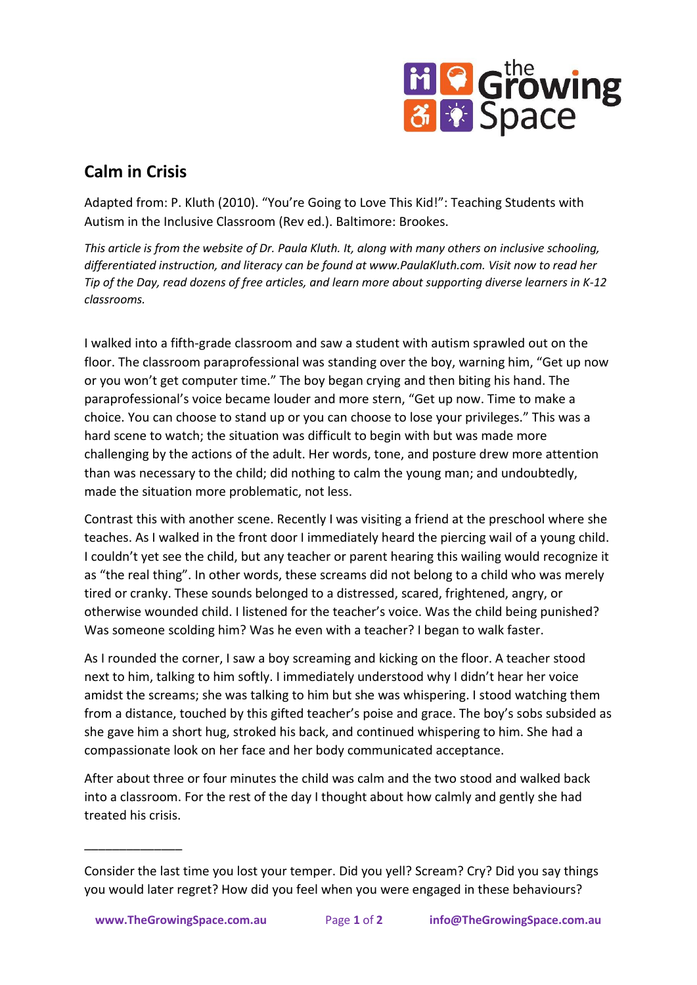

## **Calm in Crisis**

Adapted from: P. Kluth (2010). "You're Going to Love This Kid!": Teaching Students with Autism in the Inclusive Classroom (Rev ed.). Baltimore: Brookes.

*This article is from the website of Dr. Paula Kluth. It, along with many others on inclusive schooling, differentiated instruction, and literacy can be found at www.PaulaKluth.com. Visit now to read her Tip of the Day, read dozens of free articles, and learn more about supporting diverse learners in K-12 classrooms.*

I walked into a fifth-grade classroom and saw a student with autism sprawled out on the floor. The classroom paraprofessional was standing over the boy, warning him, "Get up now or you won't get computer time." The boy began crying and then biting his hand. The paraprofessional's voice became louder and more stern, "Get up now. Time to make a choice. You can choose to stand up or you can choose to lose your privileges." This was a hard scene to watch; the situation was difficult to begin with but was made more challenging by the actions of the adult. Her words, tone, and posture drew more attention than was necessary to the child; did nothing to calm the young man; and undoubtedly, made the situation more problematic, not less.

Contrast this with another scene. Recently I was visiting a friend at the preschool where she teaches. As I walked in the front door I immediately heard the piercing wail of a young child. I couldn't yet see the child, but any teacher or parent hearing this wailing would recognize it as "the real thing". In other words, these screams did not belong to a child who was merely tired or cranky. These sounds belonged to a distressed, scared, frightened, angry, or otherwise wounded child. I listened for the teacher's voice. Was the child being punished? Was someone scolding him? Was he even with a teacher? I began to walk faster.

As I rounded the corner, I saw a boy screaming and kicking on the floor. A teacher stood next to him, talking to him softly. I immediately understood why I didn't hear her voice amidst the screams; she was talking to him but she was whispering. I stood watching them from a distance, touched by this gifted teacher's poise and grace. The boy's sobs subsided as she gave him a short hug, stroked his back, and continued whispering to him. She had a compassionate look on her face and her body communicated acceptance.

After about three or four minutes the child was calm and the two stood and walked back into a classroom. For the rest of the day I thought about how calmly and gently she had treated his crisis.

\_\_\_\_\_\_\_\_\_\_\_\_\_\_

Consider the last time you lost your temper. Did you yell? Scream? Cry? Did you say things you would later regret? How did you feel when you were engaged in these behaviours?